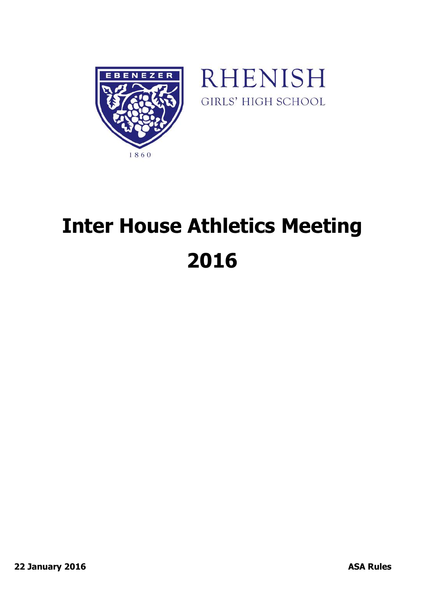



# **Inter House Athletics Meeting 2016**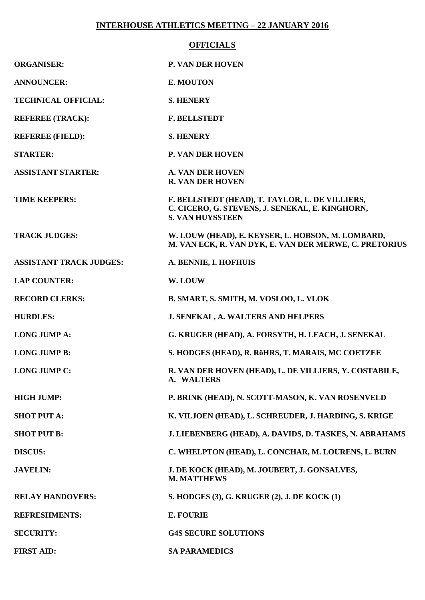#### **INTERHOUSE ATHLETICS MEETING – 22 JANUARY 2016**

#### **OFFICIALS**

| <b>ORGANISER:</b>              | <b>P. VAN DER HOVEN</b>                                                                                                       |
|--------------------------------|-------------------------------------------------------------------------------------------------------------------------------|
| <b>ANNOUNCER:</b>              | E. MOUTON                                                                                                                     |
| <b>TECHNICAL OFFICIAL:</b>     | <b>S. HENERY</b>                                                                                                              |
| <b>REFEREE (TRACK):</b>        | <b>F. BELLSTEDT</b>                                                                                                           |
| <b>REFEREE (FIELD):</b>        | <b>S. HENERY</b>                                                                                                              |
| <b>STARTER:</b>                | <b>P. VAN DER HOVEN</b>                                                                                                       |
| <b>ASSISTANT STARTER:</b>      | <b>A. VAN DER HOVEN</b><br><b>R. VAN DER HOVEN</b>                                                                            |
| <b>TIME KEEPERS:</b>           | F. BELLSTEDT (HEAD), T. TAYLOR, L. DE VILLIERS,<br>C. CICERO, G. STEVENS, J. SENEKAL, E. KINGHORN,<br><b>S. VAN HUYSSTEEN</b> |
| <b>TRACK JUDGES:</b>           | W. LOUW (HEAD), E. KEYSER, L. HOBSON, M. LOMBARD,<br>M. VAN ECK, R. VAN DYK, E. VAN DER MERWE, C. PRETORIUS                   |
| <b>ASSISTANT TRACK JUDGES:</b> | A. BENNIE, I. HOFHUIS                                                                                                         |
| <b>LAP COUNTER:</b>            | W. LOUW                                                                                                                       |
| <b>RECORD CLERKS:</b>          | B. SMART, S. SMITH, M. VOSLOO, L. VLOK                                                                                        |
| <b>HURDLES:</b>                | J. SENEKAL, A. WALTERS AND HELPERS                                                                                            |
| <b>LONG JUMP A:</b>            | G. KRUGER (HEAD), A. FORSYTH, H. LEACH, J. SENEKAL                                                                            |
| <b>LONG JUMP B:</b>            | S. HODGES (HEAD), R. RöHRS, T. MARAIS, MC COETZEE                                                                             |
| <b>LONG JUMP C:</b>            | R. VAN DER HOVEN (HEAD), L. DE VILLIERS, Y. COSTABILE,<br>A. WALTERS                                                          |
| <b>HIGH JUMP:</b>              | P. BRINK (HEAD), N. SCOTT-MASON, K. VAN ROSENVELD                                                                             |
| <b>SHOT PUT A:</b>             | K. VILJOEN (HEAD), L. SCHREUDER, J. HARDING, S. KRIGE                                                                         |
| <b>SHOT PUT B:</b>             | J. LIEBENBERG (HEAD), A. DAVIDS, D. TASKES, N. ABRAHAMS                                                                       |
| <b>DISCUS:</b>                 | C. WHELPTON (HEAD), L. CONCHAR, M. LOURENS, L. BURN                                                                           |
| <b>JAVELIN:</b>                | J. DE KOCK (HEAD), M. JOUBERT, J. GONSALVES,<br><b>M. MATTHEWS</b>                                                            |
| <b>RELAY HANDOVERS:</b>        | S. HODGES (3), G. KRUGER (2), J. DE KOCK (1)                                                                                  |
| <b>REFRESHMENTS:</b>           | <b>E. FOURIE</b>                                                                                                              |
| <b>SECURITY:</b>               | <b>G4S SECURE SOLUTIONS</b>                                                                                                   |
| <b>FIRST AID:</b>              | <b>SA PARAMEDICS</b>                                                                                                          |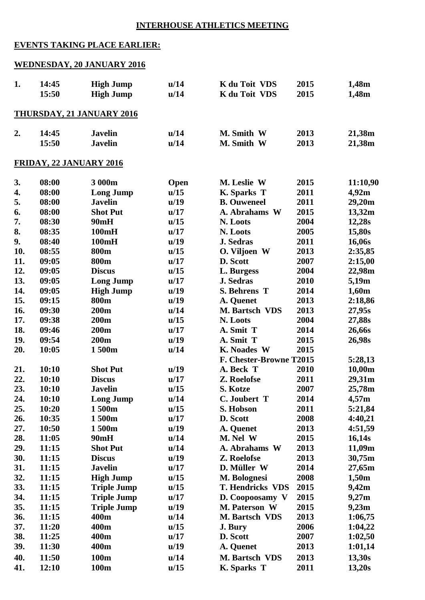## **INTERHOUSE ATHLETICS MEETING**

## **EVENTS TAKING PLACE EARLIER:**

## **WEDNESDAY, 20 JANUARY 2016**

| 1.  | 14:45 | <b>High Jump</b>                 | u/14 | K du Toit VDS           | 2015 | 1,48m    |
|-----|-------|----------------------------------|------|-------------------------|------|----------|
|     | 15:50 | <b>High Jump</b>                 | u/14 | K du Toit VDS           | 2015 | 1,48m    |
|     |       |                                  |      |                         |      |          |
|     |       | <b>THURSDAY, 21 JANUARY 2016</b> |      |                         |      |          |
|     |       |                                  |      |                         |      |          |
| 2.  | 14:45 | <b>Javelin</b>                   | u/14 | M. Smith W              | 2013 | 21,38m   |
|     | 15:50 | <b>Javelin</b>                   | u/14 | M. Smith W              | 2013 | 21,38m   |
|     |       | <b>FRIDAY, 22 JANUARY 2016</b>   |      |                         |      |          |
|     |       |                                  |      |                         |      |          |
| 3.  | 08:00 | 3 000m                           | Open | M. Leslie W             | 2015 | 11:10,90 |
| 4.  | 08:00 | <b>Long Jump</b>                 | u/15 | K. Sparks T             | 2011 | 4,92m    |
| 5.  | 08:00 | <b>Javelin</b>                   | u/19 | <b>B.</b> Ouweneel      | 2011 | 29,20m   |
| 6.  | 08:00 | <b>Shot Put</b>                  | u/17 | A. Abrahams W           | 2015 | 13,32m   |
| 7.  | 08:30 | 90mH                             | u/15 | N. Loots                | 2004 | 12,28s   |
| 8.  | 08:35 | 100mH                            | u/17 | N. Loots                | 2005 | 15,80s   |
| 9.  | 08:40 | 100mH                            | u/19 | <b>J. Sedras</b>        | 2011 | 16,06s   |
| 10. | 08:55 | 800m                             | u/15 | O. Viljoen W            | 2013 | 2:35,85  |
| 11. | 09:05 | 800m                             | u/17 | D. Scott                | 2007 | 2:15,00  |
| 12. | 09:05 | <b>Discus</b>                    | u/15 | L. Burgess              | 2004 | 22,98m   |
| 13. | 09:05 | <b>Long Jump</b>                 | u/17 | J. Sedras               | 2010 | 5,19m    |
| 14. | 09:05 | <b>High Jump</b>                 | u/19 | S. Behrens T            | 2014 | 1,60m    |
| 15. | 09:15 | 800m                             | u/19 | A. Quenet               | 2013 | 2:18,86  |
| 16. | 09:30 | <b>200m</b>                      | u/14 | M. Bartsch VDS          | 2013 | 27,95s   |
| 17. | 09:38 | <b>200m</b>                      | u/15 | N. Loots                | 2004 | 27,88s   |
| 18. | 09:46 | <b>200m</b>                      | u/17 | A. Smit T               | 2014 | 26,66s   |
| 19. | 09:54 | <b>200m</b>                      | u/19 | A. Smit T               | 2015 | 26,98s   |
| 20. | 10:05 | 1500m                            | u/14 | <b>K.</b> Noades W      | 2015 |          |
|     |       |                                  |      | F. Chester-Browne T2015 |      | 5:28,13  |
| 21. | 10:10 | <b>Shot Put</b>                  | u/19 | A. Beck T               | 2010 | 10,00m   |
| 22. | 10:10 | <b>Discus</b>                    | u/17 | Z. Roelofse             | 2011 | 29,31m   |
| 23. | 10:10 | <b>Javelin</b>                   | u/15 | S. Kotze                | 2007 | 25,78m   |
| 24. | 10:10 | <b>Long Jump</b>                 | u/14 | C. Joubert T            | 2014 | 4,57m    |
| 25. | 10:20 | 1500m                            | u/15 | S. Hobson               | 2011 | 5:21,84  |
| 26. | 10:35 | 1500m                            | u/17 | D. Scott                | 2008 | 4:40,21  |
| 27. | 10:50 | 1500m                            | u/19 | A. Quenet               | 2013 | 4:51,59  |
| 28. | 11:05 | 90mH                             | u/14 | M. Nel W                | 2015 | 16,14s   |
| 29. | 11:15 | <b>Shot Put</b>                  | u/14 | A. Abrahams W           | 2013 | 11,09m   |
| 30. | 11:15 | <b>Discus</b>                    | u/19 | Z. Roelofse             | 2013 | 30,75m   |
| 31. | 11:15 | <b>Javelin</b>                   | u/17 | D. Müller W             | 2014 | 27,65m   |
| 32. | 11:15 | <b>High Jump</b>                 | u/15 | M. Bolognesi            | 2008 | 1,50m    |
| 33. | 11:15 | <b>Triple Jump</b>               | u/15 | <b>T. Hendricks VDS</b> | 2015 | 9,42m    |
| 34. | 11:15 | <b>Triple Jump</b>               | u/17 | D. Coopoosamy V         | 2015 | 9,27m    |
| 35. | 11:15 | <b>Triple Jump</b>               | u/19 | M. Paterson W           | 2015 | 9,23m    |
| 36. | 11:15 | 400m                             | u/14 | M. Bartsch VDS          | 2013 | 1:06,75  |
| 37. | 11:20 | 400m                             | u/15 | J. Bury                 | 2006 | 1:04,22  |
| 38. | 11:25 | 400m                             | u/17 | D. Scott                | 2007 | 1:02,50  |
| 39. | 11:30 | 400m                             | u/19 | A. Quenet               | 2013 | 1:01,14  |
| 40. | 11:50 | 100m                             | u/14 | M. Bartsch VDS          | 2013 | 13,30s   |
| 41. | 12:10 | 100m                             | u/15 | K. Sparks T             | 2011 | 13,20s   |
|     |       |                                  |      |                         |      |          |